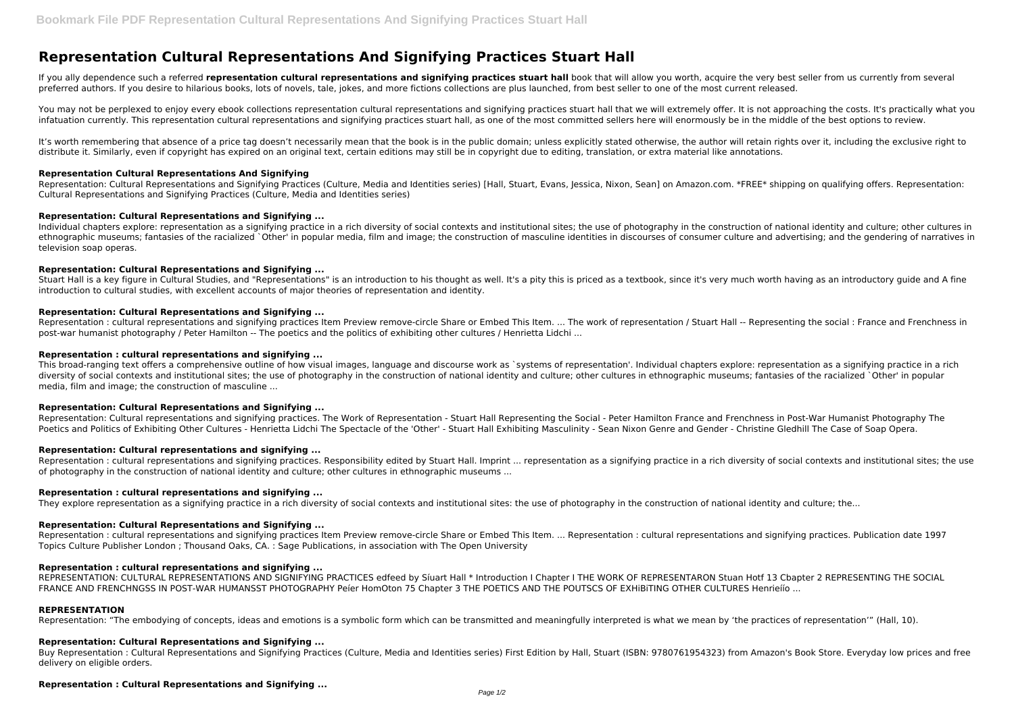# **Representation Cultural Representations And Signifying Practices Stuart Hall**

If you ally dependence such a referred representation cultural representations and signifying practices stuart hall book that will allow you worth, acquire the very best seller from us currently from several preferred authors. If you desire to hilarious books, lots of novels, tale, jokes, and more fictions collections are plus launched, from best seller to one of the most current released.

You may not be perplexed to enjoy every ebook collections representation cultural representations and signifying practices stuart hall that we will extremely offer. It is not approaching the costs. It's practically what yo infatuation currently. This representation cultural representations and signifying practices stuart hall, as one of the most committed sellers here will enormously be in the middle of the best options to review.

It's worth remembering that absence of a price tag doesn't necessarily mean that the book is in the public domain; unless explicitly stated otherwise, the author will retain rights over it, including the exclusive right to distribute it. Similarly, even if copyright has expired on an original text, certain editions may still be in copyright due to editing, translation, or extra material like annotations.

Representation: Cultural Representations and Signifying Practices (Culture, Media and Identities series) [Hall, Stuart, Evans, Jessica, Nixon, Sean] on Amazon.com. \*FREE\* shipping on qualifying offers. Representation: Cultural Representations and Signifying Practices (Culture, Media and Identities series)

Individual chapters explore: representation as a signifying practice in a rich diversity of social contexts and institutional sites; the use of photography in the construction of national identity and culture; other cultur ethnographic museums; fantasies of the racialized `Other' in popular media, film and image; the construction of masculine identities in discourses of consumer culture and advertising; and the gendering of narratives in television soap operas.

Stuart Hall is a key figure in Cultural Studies, and "Representations" is an introduction to his thought as well. It's a pity this is priced as a textbook, since it's very much worth having as an introductory guide and A f introduction to cultural studies, with excellent accounts of major theories of representation and identity.

## **Representation Cultural Representations And Signifying**

# **Representation: Cultural Representations and Signifying ...**

This broad-ranging text offers a comprehensive outline of how visual images, language and discourse work as `systems of representation'. Individual chapters explore: representation as a signifying practice in a rich diversity of social contexts and institutional sites; the use of photography in the construction of national identity and culture; other cultures in ethnographic museums; fantasies of the racialized `Other' in popular media, film and image; the construction of masculine ...

Representation: Cultural representations and signifying practices. The Work of Representation - Stuart Hall Representing the Social - Peter Hamilton France and Frenchness in Post-War Humanist Photography The Poetics and Politics of Exhibiting Other Cultures - Henrietta Lidchi The Spectacle of the 'Other' - Stuart Hall Exhibiting Masculinity - Sean Nixon Genre and Gender - Christine Gledhill The Case of Soap Opera.

Representation: cultural representations and signifying practices. Responsibility edited by Stuart Hall. Imprint ... representation as a signifying practice in a rich diversity of social contexts and institutional sites; t of photography in the construction of national identity and culture; other cultures in ethnographic museums ...

# **Representation: Cultural Representations and Signifying ...**

# **Representation: Cultural Representations and Signifying ...**

Representation : cultural representations and signifying practices Item Preview remove-circle Share or Embed This Item. ... The work of representation / Stuart Hall -- Representing the social : France and Frenchness in post-war humanist photography / Peter Hamilton -- The poetics and the politics of exhibiting other cultures / Henrietta Lidchi ...

REPRESENTATION: CULTURAL REPRESENTATIONS AND SIGNIFYING PRACTICES edfeed by Siuart Hall \* Introduction I Chapter I THE WORK OF REPRESENTARON Stuan Hotf 13 Cbapter 2 REPRESENTING THE SOCIAL FRANCE AND FRENCHNGSS IN POST-WAR HUMANSST PHOTOGRAPHY Peíer HomOton 75 Chapter 3 THE POETICS AND THE POUTSCS OF EXHiBiTING OTHER CULTURES Henrieíío ...

## **Representation : cultural representations and signifying ...**

## **Representation: Cultural Representations and Signifying ...**

# **Representation: Cultural representations and signifying ...**

# **Representation : cultural representations and signifying ...**

They explore representation as a signifying practice in a rich diversity of social contexts and institutional sites: the use of photography in the construction of national identity and culture; the...

## **Representation: Cultural Representations and Signifying ...**

Representation : cultural representations and signifying practices Item Preview remove-circle Share or Embed This Item. ... Representation : cultural representations and signifying practices. Publication date 1997 Topics Culture Publisher London ; Thousand Oaks, CA. : Sage Publications, in association with The Open University

## **Representation : cultural representations and signifying ...**

## **REPRESENTATION**

Representation: "The embodying of concepts, ideas and emotions is a symbolic form which can be transmitted and meaningfully interpreted is what we mean by 'the practices of representation'" (Hall, 10).

## **Representation: Cultural Representations and Signifying ...**

Buy Representation : Cultural Representations and Signifying Practices (Culture, Media and Identities series) First Edition by Hall, Stuart (ISBN: 9780761954323) from Amazon's Book Store. Everyday low prices and free delivery on eligible orders.

## **Representation : Cultural Representations and Signifying ...**